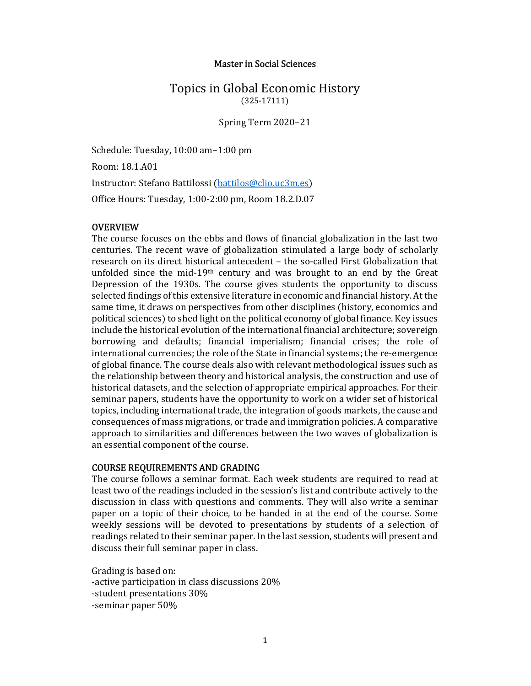## Master in Social Sciences

# Topics in Global Economic History (325-17111)

Spring Term 2020–21

Schedule: Tuesday, 10:00 am–1:00 pm Room: 18.1.A01 Instructor: Stefano Battilossi (battilos@clio.uc3m.es) Office Hours: Tuesday, 1:00-2:00 pm, Room 18.2.D.07

### **OVERVIEW**

The course focuses on the ebbs and flows of financial globalization in the last two centuries. The recent wave of globalization stimulated a large body of scholarly research on its direct historical antecedent – the so-called First Globalization that unfolded since the mid-19<sup>th</sup> century and was brought to an end by the Great Depression of the 1930s. The course gives students the opportunity to discuss selected findings of this extensive literature in economic and financial history. At the same time, it draws on perspectives from other disciplines (history, economics and political sciences) to shed light on the political economy of global finance. Key issues include the historical evolution of the international financial architecture; sovereign borrowing and defaults; financial imperialism; financial crises; the role of international currencies; the role of the State in financial systems; the re-emergence of global finance. The course deals also with relevant methodological issues such as the relationship between theory and historical analysis, the construction and use of historical datasets, and the selection of appropriate empirical approaches. For their seminar papers, students have the opportunity to work on a wider set of historical topics, including international trade, the integration of goods markets, the cause and consequences of mass migrations, or trade and immigration policies. A comparative approach to similarities and differences between the two waves of globalization is an essential component of the course.

#### COURSE REQUIREMENTS AND GRADING

The course follows a seminar format. Each week students are required to read at least two of the readings included in the session's list and contribute actively to the discussion in class with questions and comments. They will also write a seminar paper on a topic of their choice, to be handed in at the end of the course. Some weekly sessions will be devoted to presentations by students of a selection of readings related to their seminar paper. In the last session, students will present and discuss their full seminar paper in class.

Grading is based on: -active participation in class discussions 20% -student presentations 30% -seminar paper 50%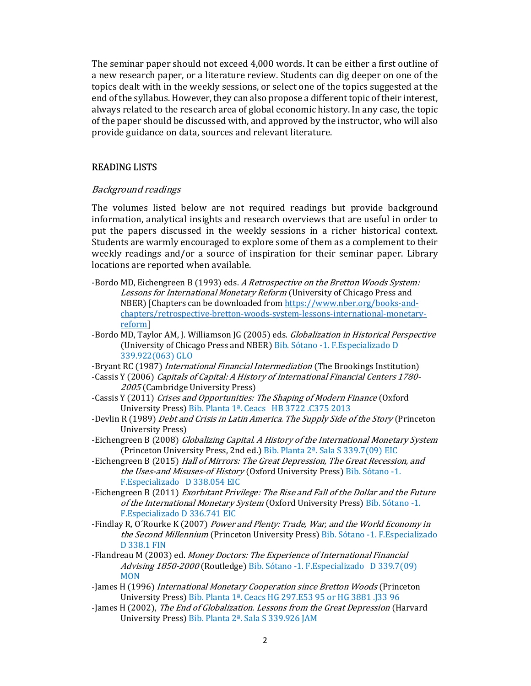The seminar paper should not exceed 4,000 words. It can be either a first outline of a new research paper, or a literature review. Students can dig deeper on one of the topics dealt with in the weekly sessions, or select one of the topics suggested at the end of the syllabus. However, they can also propose a different topic of their interest, always related to the research area of global economic history. In any case, the topic of the paper should be discussed with, and approved by the instructor, who will also provide guidance on data, sources and relevant literature.

## READING LISTS

## Background readings

The volumes listed below are not required readings but provide background information, analytical insights and research overviews that are useful in order to put the papers discussed in the weekly sessions in a richer historical context. Students are warmly encouraged to explore some of them as a complement to their weekly readings and/or a source of inspiration for their seminar paper. Library locations are reported when available.

- -Bordo MD, Eichengreen B (1993) eds. A Retrospective on the Bretton Woods System: Lessons for International Monetary Reform (University of Chicago Press and NBER) [Chapters can be downloaded from https://www.nber.org/books-andchapters/retrospective-bretton-woods-system-lessons-international-monetaryreform]
- -Bordo MD, Taylor AM, J. Williamson JG (2005) eds. Globalization in Historical Perspective (University of Chicago Press and NBER) Bib. Sótano -1. F.Especializado D 339.922(063) GLO
- -Bryant RC (1987) International Financial Intermediation (The Brookings Institution)
- -Cassis Y (2006) Capitals of Capital: A History of International Financial Centers 1780- 2005 (Cambridge University Press)
- -Cassis Y (2011) Crises and Opportunities: The Shaping of Modern Finance (Oxford University Press) Bib. Planta 1ª. Ceacs HB 3722 .C375 2013
- -Devlin R (1989) *Debt and Crisis in Latin America. The Supply Side of the Story* (Princeton University Press)
- -Eichengreen B (2008) Globalizing Capital. A History of the International Monetary System (Princeton University Press, 2nd ed.) Bib. Planta 2ª. Sala S 339.7(09) EIC
- -Eichengreen B (2015) Hall of Mirrors: The Great Depression, The Great Recession, and the Uses-and Misuses-of History (Oxford University Press) Bib. Sótano -1. F.Especializado D 338.054 EIC
- -Eichengreen B (2011) Exorbitant Privilege: The Rise and Fall of the Dollar and the Future of the International Monetary System (Oxford University Press) Bib. Sótano -1. F.Especializado D 336.741 EIC
- -Findlay R, O'Rourke K (2007) Power and Plenty: Trade, War, and the World Economy in the Second Millennium (Princeton University Press) Bib. Sótano -1. F.Especializado D 338.1 FIN
- -Flandreau M (2003) ed. Money Doctors: The Experience of International Financial Advising 1850-2000 (Routledge) Bib. Sótano -1. F. Especializado D 339.7(09) **MON**
- -James H (1996) International Monetary Cooperation since Bretton Woods (Princeton University Press) Bib. Planta 1ª. Ceacs HG 297.E53 95 or HG 3881 .J33 96
- -James H (2002), The End of Globalization. Lessons from the Great Depression (Harvard University Press) Bib. Planta 2ª. Sala S 339.926 JAM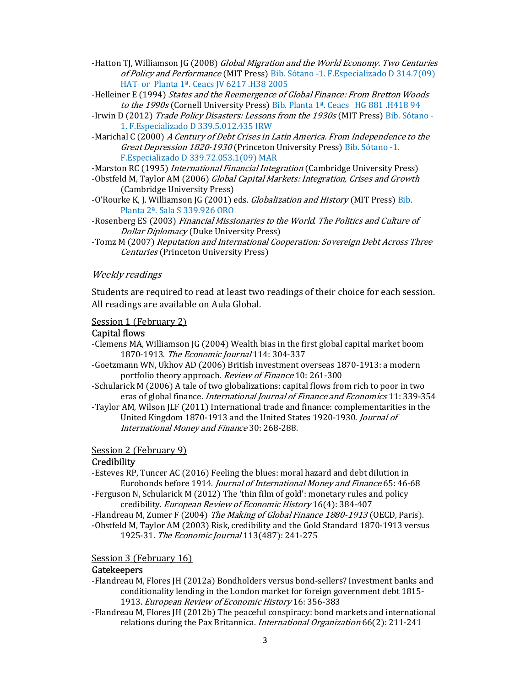- -Hatton TJ, Williamson JG (2008) Global Migration and the World Economy. Two Centuries of Policy and Performance (MIT Press) Bib. Sótano -1. F.Especializado D 314.7(09) HAT or Planta 1ª. Ceacs JV 6217 .H38 2005
- -Helleiner E (1994) States and the Reemergence of Global Finance: From Bretton Woods to the 1990s (Cornell University Press) Bib. Planta 1ª. Ceacs HG 881.H418 94
- -Irwin D (2012) Trade Policy Disasters: Lessons from the 1930s (MIT Press) Bib. Sótano -1. F.Especializado D 339.5.012.435 IRW
- -Marichal C (2000) A Century of Debt Crises in Latin America. From Independence to the Great Depression 1820-1930 (Princeton University Press) Bib. Sótano -1. F.Especializado D 339.72.053.1(09) MAR

-Marston RC (1995) *International Financial Integration* (Cambridge University Press)

- -Obstfeld M, Taylor AM (2006) Global Capital Markets: Integration, Crises and Growth (Cambridge University Press)
- -O'Rourke K, J. Williamson JG (2001) eds. *Globalization and History* (MIT Press) Bib. Planta 2ª. Sala S 339.926 ORO
- -Rosenberg ES (2003) Financial Missionaries to the World. The Politics and Culture of Dollar Diplomacy (Duke University Press)
- -Tomz M (2007) Reputation and International Cooperation: Sovereign Debt Across Three Centuries (Princeton University Press)

### Weekly readings

Students are required to read at least two readings of their choice for each session. All readings are available on Aula Global.

#### Session 1 (February 2)

#### Capital flows

- -Clemens MA, Williamson JG (2004) Wealth bias in the first global capital market boom 1870-1913. The Economic Journal 114: 304-337
- -Goetzmann WN, Ukhov AD (2006) British investment overseas 1870-1913: a modern portfolio theory approach. Review of Finance 10: 261-300
- -Schularick M (2006) A tale of two globalizations: capital flows from rich to poor in two eras of global finance. *International Journal of Finance and Economics* 11: 339-354
- -Taylor AM, Wilson JLF (2011) International trade and finance: complementarities in the United Kingdom 1870-1913 and the United States 1920-1930. Journal of International Money and Finance 30: 268-288.

#### Session 2 (February 9)

#### **Credibility**

- -Esteves RP, Tuncer AC (2016) Feeling the blues: moral hazard and debt dilution in Eurobonds before 1914. Journal of International Money and Finance 65: 46-68
- -Ferguson N, Schularick M (2012) The 'thin film of gold': monetary rules and policy credibility. European Review of Economic History 16(4): 384-407

-Flandreau M, Zumer F (2004) The Making of Global Finance 1880-1913 (OECD, Paris). -Obstfeld M, Taylor AM (2003) Risk, credibility and the Gold Standard 1870-1913 versus 1925-31. The Economic Journal 113(487): 241-275

#### Session 3 (February 16)

#### **Gatekeepers**

- -Flandreau M, Flores JH (2012a) Bondholders versus bond-sellers? Investment banks and conditionality lending in the London market for foreign government debt 1815- 1913. European Review of Economic History 16: 356-383
- -Flandreau M, Flores JH (2012b) The peaceful conspiracy: bond markets and international relations during the Pax Britannica. International Organization 66(2): 211-241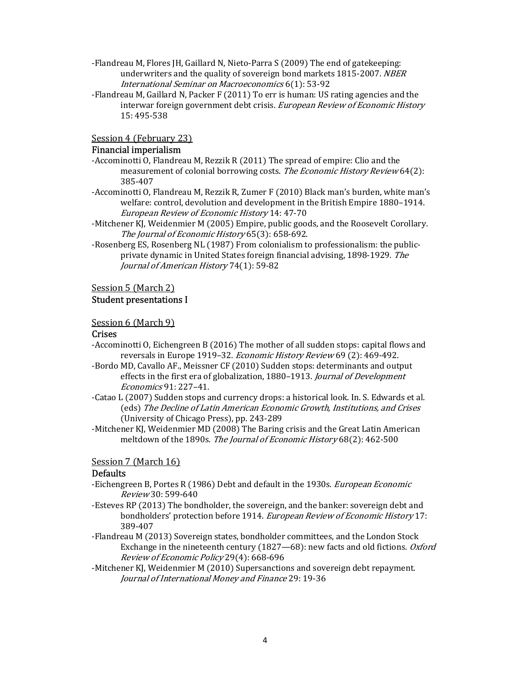- -Flandreau M, Flores JH, Gaillard N, Nieto-Parra S (2009) The end of gatekeeping: underwriters and the quality of sovereign bond markets 1815-2007. NBER International Seminar on Macroeconomics 6(1): 53-92
- -Flandreau M, Gaillard N, Packer F (2011) To err is human: US rating agencies and the interwar foreign government debt crisis. European Review of Economic History 15: 495-538

Session 4 (February 23)

## Financial imperialism

- -Accominotti O, Flandreau M, Rezzik R (2011) The spread of empire: Clio and the measurement of colonial borrowing costs. The Economic History Review 64(2): 385-407
- -Accominotti O, Flandreau M, Rezzik R, Zumer F (2010) Black man's burden, white man's welfare: control, devolution and development in the British Empire 1880–1914. European Review of Economic History 14: 47-70
- -Mitchener KJ, Weidenmier M (2005) Empire, public goods, and the Roosevelt Corollary. The *Iournal of Economic History* 65(3): 658-692.
- -Rosenberg ES, Rosenberg NL (1987) From colonialism to professionalism: the publicprivate dynamic in United States foreign financial advising, 1898-1929. The Journal of American History 74(1): 59-82

### Session 5 (March 2)

## Student presentations I

### Session 6 (March 9)

#### Crises

- -Accominotti O, Eichengreen B (2016) The mother of all sudden stops: capital flows and reversals in Europe 1919–32. Economic History Review 69 (2): 469-492.
- -Bordo MD, Cavallo AF., Meissner CF (2010) Sudden stops: determinants and output effects in the first era of globalization, 1880–1913. Journal of Development Economics 91: 227–41.
- -Catao L (2007) Sudden stops and currency drops: a historical look. In. S. Edwards et al. (eds) The Decline of Latin American Economic Growth, Institutions, and Crises (University of Chicago Press), pp. 243-289
- -Mitchener KJ, Weidenmier MD (2008) The Baring crisis and the Great Latin American meltdown of the 1890s. The Journal of Economic History 68(2): 462-500

#### Session 7 (March 16)

#### Defaults

- -Eichengreen B, Portes R (1986) Debt and default in the 1930s. European Economic Review 30: 599-640
- -Esteves RP (2013) The bondholder, the sovereign, and the banker: sovereign debt and bondholders' protection before 1914. European Review of Economic History 17: 389-407
- -Flandreau M (2013) Sovereign states, bondholder committees, and the London Stock Exchange in the nineteenth century (1827—68): new facts and old fictions. Oxford Review of Economic Policy 29(4): 668-696
- -Mitchener KJ, Weidenmier M (2010) Supersanctions and sovereign debt repayment. Journal of International Money and Finance 29: 19-36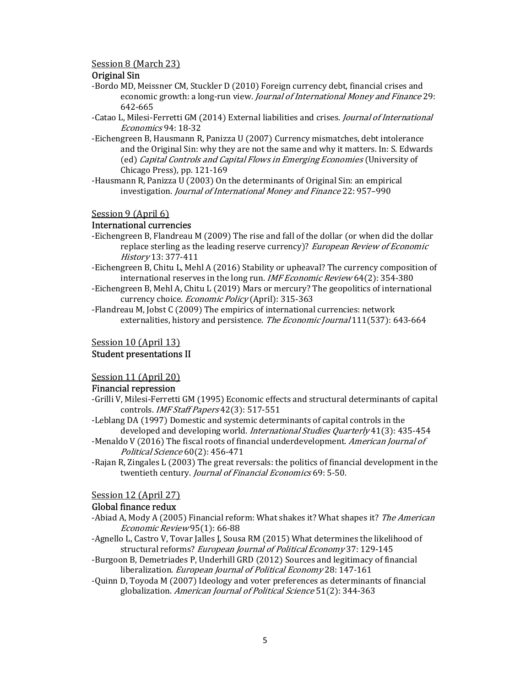### Session 8 (March 23)

## Original Sin

- -Bordo MD, Meissner CM, Stuckler D (2010) Foreign currency debt, financial crises and economic growth: a long-run view. *Journal of International Money and Finance* 29: 642-665
- -Catao L, Milesi-Ferretti GM (2014) External liabilities and crises. Journal of International Economics 94: 18-32
- -Eichengreen B, Hausmann R, Panizza U (2007) Currency mismatches, debt intolerance and the Original Sin: why they are not the same and why it matters. In: S. Edwards (ed) Capital Controls and Capital Flows in Emerging Economies (University of Chicago Press), pp. 121-169
- -Hausmann R, Panizza U (2003) On the determinants of Original Sin: an empirical investigation. Journal of International Money and Finance 22: 957–990

## Session 9 (April 6)

## International currencies

- -Eichengreen B, Flandreau M (2009) The rise and fall of the dollar (or when did the dollar replace sterling as the leading reserve currency)? European Review of Economic History 13: 377-411
- -Eichengreen B, Chitu L, Mehl A (2016) Stability or upheaval? The currency composition of international reserves in the long run. *IMF Economic Review* 64(2): 354-380
- -Eichengreen B, Mehl A, Chitu L (2019) Mars or mercury? The geopolitics of international currency choice. Economic Policy (April): 315-363

-Flandreau M, Jobst C (2009) The empirics of international currencies: network externalities, history and persistence. The Economic Journal 111(537): 643-664

## Session 10 (April 13)

## Student presentations II

Session 11 (April 20)

## Financial repression

- -Grilli V, Milesi-Ferretti GM (1995) Economic effects and structural determinants of capital controls. IMF Staff Papers 42(3): 517-551
- -Leblang DA (1997) Domestic and systemic determinants of capital controls in the developed and developing world. International Studies Quarterly 41(3): 435-454
- -Menaldo V (2016) The fiscal roots of financial underdevelopment. American Journal of Political Science 60(2): 456-471
- -Rajan R, Zingales L (2003) The great reversals: the politics of financial development in the twentieth century. *Journal of Financial Economics* 69: 5-50.

## Session 12 (April 27)

## Global finance redux

- -Abiad A, Mody A (2005) Financial reform: What shakes it? What shapes it? The American Economic Review 95(1): 66-88
- -Agnello L, Castro V, Tovar Jalles J, Sousa RM (2015) What determines the likelihood of structural reforms? European Journal of Political Economy 37: 129-145
- -Burgoon B, Demetriades P, Underhill GRD (2012) Sources and legitimacy of financial liberalization. European Journal of Political Economy 28: 147-161
- -Quinn D, Toyoda M (2007) Ideology and voter preferences as determinants of financial globalization. American Journal of Political Science 51(2): 344-363